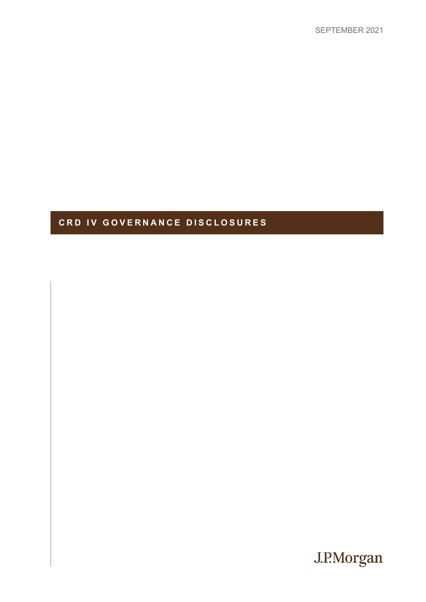# **CRD IV GOVERNANCE DISCLOSURES**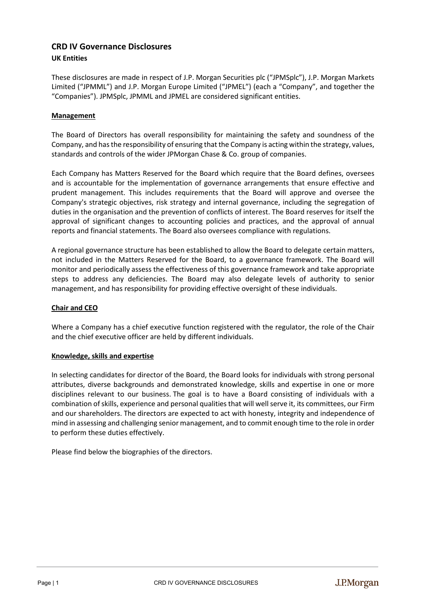# **CRD IV Governance Disclosures UK Entities**

These disclosures are made in respect of J.P. Morgan Securities plc ("JPMSplc"), J.P. Morgan Markets Limited ("JPMML") and J.P. Morgan Europe Limited ("JPMEL") (each a "Company", and together the "Companies"). JPMSplc, JPMML and JPMEL are considered significant entities.

# **Management**

The Board of Directors has overall responsibility for maintaining the safety and soundness of the Company, and has the responsibility of ensuring that the Company is acting within the strategy, values, standards and controls of the wider JPMorgan Chase & Co. group of companies.

Each Company has Matters Reserved for the Board which require that the Board defines, oversees and is accountable for the implementation of governance arrangements that ensure effective and prudent management. This includes requirements that the Board will approve and oversee the Company's strategic objectives, risk strategy and internal governance, including the segregation of duties in the organisation and the prevention of conflicts of interest. The Board reserves for itself the approval of significant changes to accounting policies and practices, and the approval of annual reports and financial statements. The Board also oversees compliance with regulations.

A regional governance structure has been established to allow the Board to delegate certain matters, not included in the Matters Reserved for the Board, to a governance framework. The Board will monitor and periodically assess the effectiveness of this governance framework and take appropriate steps to address any deficiencies. The Board may also delegate levels of authority to senior management, and has responsibility for providing effective oversight of these individuals.

# **Chair and CEO**

Where a Company has a chief executive function registered with the regulator, the role of the Chair and the chief executive officer are held by different individuals.

#### **Knowledge, skills and expertise**

In selecting candidates for director of the Board, the Board looks for individuals with strong personal attributes, diverse backgrounds and demonstrated knowledge, skills and expertise in one or more disciplines relevant to our business. The goal is to have a Board consisting of individuals with a combination of skills, experience and personal qualities that will well serve it, its committees, our Firm and our shareholders. The directors are expected to act with honesty, integrity and independence of mind in assessing and challenging senior management, and to commit enough time to the role in order to perform these duties effectively.

Please find below the biographies of the directors.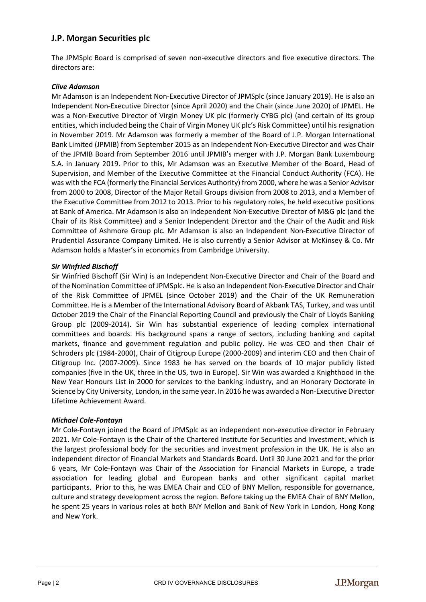# **J.P. Morgan Securities plc**

The JPMSplc Board is comprised of seven non-executive directors and five executive directors. The directors are:

# *Clive Adamson*

Mr Adamson is an Independent Non-Executive Director of JPMSplc (since January 2019). He is also an Independent Non-Executive Director (since April 2020) and the Chair (since June 2020) of JPMEL. He was a Non-Executive Director of Virgin Money UK plc (formerly CYBG plc) (and certain of its group entities, which included being the Chair of Virgin Money UK plc's Risk Committee) until his resignation in November 2019. Mr Adamson was formerly a member of the Board of J.P. Morgan International Bank Limited (JPMIB) from September 2015 as an Independent Non-Executive Director and was Chair of the JPMIB Board from September 2016 until JPMIB's merger with J.P. Morgan Bank Luxembourg S.A. in January 2019. Prior to this, Mr Adamson was an Executive Member of the Board, Head of Supervision, and Member of the Executive Committee at the Financial Conduct Authority (FCA). He was with the FCA (formerly the Financial Services Authority) from 2000, where he was a Senior Advisor from 2000 to 2008, Director of the Major Retail Groups division from 2008 to 2013, and a Member of the Executive Committee from 2012 to 2013. Prior to his regulatory roles, he held executive positions at Bank of America. Mr Adamson is also an Independent Non-Executive Director of M&G plc (and the Chair of its Risk Committee) and a Senior Independent Director and the Chair of the Audit and Risk Committee of Ashmore Group plc. Mr Adamson is also an Independent Non-Executive Director of Prudential Assurance Company Limited. He is also currently a Senior Advisor at McKinsey & Co. Mr Adamson holds a Master's in economics from Cambridge University.

# *Sir Winfried Bischoff*

Sir Winfried Bischoff (Sir Win) is an Independent Non-Executive Director and Chair of the Board and of the Nomination Committee of JPMSplc. He is also an Independent Non-Executive Director and Chair of the Risk Committee of JPMEL (since October 2019) and the Chair of the UK Remuneration Committee. He is a Member of the International Advisory Board of Akbank TAS, Turkey, and was until October 2019 the Chair of the Financial Reporting Council and previously the Chair of Lloyds Banking Group plc (2009-2014). Sir Win has substantial experience of leading complex international committees and boards. His background spans a range of sectors, including banking and capital markets, finance and government regulation and public policy. He was CEO and then Chair of Schroders plc (1984-2000), Chair of Citigroup Europe (2000-2009) and interim CEO and then Chair of Citigroup Inc. (2007-2009). Since 1983 he has served on the boards of 10 major publicly listed companies (five in the UK, three in the US, two in Europe). Sir Win was awarded a Knighthood in the New Year Honours List in 2000 for services to the banking industry, and an Honorary Doctorate in Science by City University, London, in the same year. In 2016 he was awarded a Non-Executive Director Lifetime Achievement Award.

#### *Michael Cole-Fontayn*

Mr Cole-Fontayn joined the Board of JPMSplc as an independent non-executive director in February 2021. Mr Cole-Fontayn is the Chair of the Chartered Institute for Securities and Investment, which is the largest professional body for the securities and investment profession in the UK. He is also an independent director of Financial Markets and Standards Board. Until 30 June 2021 and for the prior 6 years, Mr Cole-Fontayn was Chair of the Association for Financial Markets in Europe, a trade association for leading global and European banks and other significant capital market participants. Prior to this, he was EMEA Chair and CEO of BNY Mellon, responsible for governance, culture and strategy development across the region. Before taking up the EMEA Chair of BNY Mellon, he spent 25 years in various roles at both BNY Mellon and Bank of New York in London, Hong Kong and New York.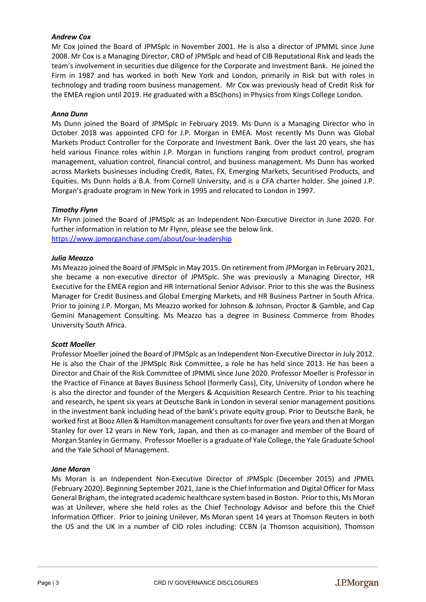# *Andrew Cox*

Mr Cox joined the Board of JPMSplc in November 2001. He is also a director of JPMML since June 2008. Mr Cox is a Managing Director, CRO of JPMSplc and head of CIB Reputational Risk and leads the team's involvement in securities due diligence for the Corporate and Investment Bank. He joined the Firm in 1987 and has worked in both New York and London, primarily in Risk but with roles in technology and trading room business management. Mr Cox was previously head of Credit Risk for the EMEA region until 2019. He graduated with a BSc(hons) in Physics from Kings College London.

# *Anna Dunn*

Ms Dunn joined the Board of JPMSplc in February 2019. Ms Dunn is a Managing Director who in October 2018 was appointed CFO for J.P. Morgan in EMEA. Most recently Ms Dunn was Global Markets Product Controller for the Corporate and Investment Bank. Over the last 20 years, she has held various Finance roles within J.P. Morgan in functions ranging from product control, program management, valuation control, financial control, and business management. Ms Dunn has worked across Markets businesses including Credit, Rates, FX, Emerging Markets, Securitised Products, and Equities. Ms Dunn holds a B.A. from Cornell University, and is a CFA charter holder. She joined J.P. Morgan's graduate program in New York in 1995 and relocated to London in 1997.

# *Timothy Flynn*

Mr Flynn joined the Board of JPMSplc as an Independent Non-Executive Director in June 2020. For further information in relation to Mr Flynn, please see the below link. <https://www.jpmorganchase.com/about/our-leadership>

# *Julia Meazzo*

Ms Meazzo joined the Board of JPMSplc in May 2015. On retirement from JPMorgan in February 2021, she became a non-executive director of JPMSplc. She was previously a Managing Director, HR Executive for the EMEA region and HR International Senior Advisor. Prior to this she was the Business Manager for Credit Business and Global Emerging Markets, and HR Business Partner in South Africa. Prior to joining J.P. Morgan, Ms Meazzo worked for Johnson & Johnson, Proctor & Gamble, and Cap Gemini Management Consulting. Ms Meazzo has a degree in Business Commerce from Rhodes University South Africa.

# *Scott Moeller*

Professor Moeller joined the Board of JPMSplc as an Independent Non-Executive Director in July 2012. He is also the Chair of the JPMSplc Risk Committee, a role he has held since 2013. He has been a Director and Chair of the Risk Committee of JPMML since June 2020. Professor Moeller is Professor in the Practice of Finance at Bayes Business School (formerly Cass), City, University of London where he is also the director and founder of the Mergers & Acquisition Research Centre. Prior to his teaching and research, he spent six years at Deutsche Bank in London in several senior management positions in the investment bank including head of the bank's private equity group. Prior to Deutsche Bank, he worked first at Booz Allen & Hamilton management consultants for over five years and then at Morgan Stanley for over 12 years in New York, Japan, and then as co-manager and member of the Board of Morgan Stanley in Germany. Professor Moeller is a graduate of Yale College, the Yale Graduate School and the Yale School of Management.

#### *Jane Moran*

Ms Moran is an Independent Non-Executive Director of JPMSplc (December 2015) and JPMEL (February 2020). Beginning September 2021, Jane is the Chief Information and Digital Officer for Mass General Brigham, the integrated academic healthcare system based in Boston. Prior to this, Ms Moran was at Unilever, where she held roles as the Chief Technology Advisor and before this the Chief Information Officer. Prior to joining Unilever, Ms Moran spent 14 years at Thomson Reuters in both the US and the UK in a number of CIO roles including: CCBN (a Thomson acquisition), Thomson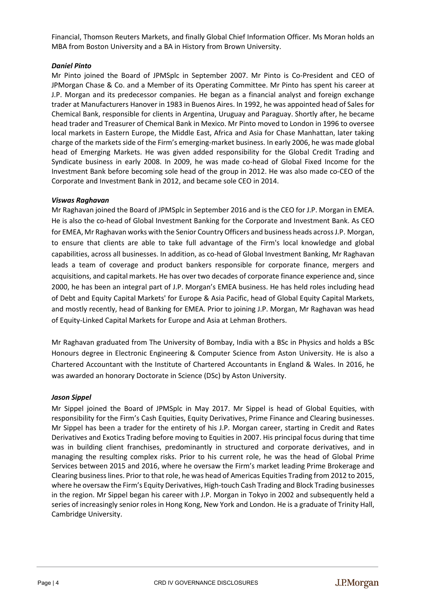Financial, Thomson Reuters Markets, and finally Global Chief Information Officer. Ms Moran holds an MBA from Boston University and a BA in History from Brown University.

# *Daniel Pinto*

Mr Pinto joined the Board of JPMSplc in September 2007. Mr Pinto is Co-President and CEO of JPMorgan Chase & Co. and a Member of its Operating Committee. Mr Pinto has spent his career at J.P. Morgan and its predecessor companies. He began as a financial analyst and foreign exchange trader at Manufacturers Hanover in 1983 in Buenos Aires. In 1992, he was appointed head of Sales for Chemical Bank, responsible for clients in Argentina, Uruguay and Paraguay. Shortly after, he became head trader and Treasurer of Chemical Bank in Mexico. Mr Pinto moved to London in 1996 to oversee local markets in Eastern Europe, the Middle East, Africa and Asia for Chase Manhattan, later taking charge of the markets side of the Firm's emerging-market business. In early 2006, he was made global head of Emerging Markets. He was given added responsibility for the Global Credit Trading and Syndicate business in early 2008. In 2009, he was made co-head of Global Fixed Income for the Investment Bank before becoming sole head of the group in 2012. He was also made co-CEO of the Corporate and Investment Bank in 2012, and became sole CEO in 2014.

# *Viswas Raghavan*

Mr Raghavan joined the Board of JPMSplc in September 2016 and is the CEO for J.P. Morgan in EMEA. He is also the co-head of Global Investment Banking for the Corporate and Investment Bank. As CEO for EMEA, Mr Raghavan works with the Senior Country Officers and business heads across J.P. Morgan, to ensure that clients are able to take full advantage of the Firm's local knowledge and global capabilities, across all businesses. In addition, as co-head of Global Investment Banking, Mr Raghavan leads a team of coverage and product bankers responsible for corporate finance, mergers and acquisitions, and capital markets. He has over two decades of corporate finance experience and, since 2000, he has been an integral part of J.P. Morgan's EMEA business. He has held roles including head of Debt and Equity Capital Markets' for Europe & Asia Pacific, head of Global Equity Capital Markets, and mostly recently, head of Banking for EMEA. Prior to joining J.P. Morgan, Mr Raghavan was head of Equity-Linked Capital Markets for Europe and Asia at Lehman Brothers.

Mr Raghavan graduated from The University of Bombay, India with a BSc in Physics and holds a BSc Honours degree in Electronic Engineering & Computer Science from Aston University. He is also a Chartered Accountant with the Institute of Chartered Accountants in England & Wales. In 2016, he was awarded an honorary Doctorate in Science (DSc) by Aston University.

#### *Jason Sippel*

Mr Sippel joined the Board of JPMSplc in May 2017. Mr Sippel is head of Global Equities, with responsibility for the Firm's Cash Equities, Equity Derivatives, Prime Finance and Clearing businesses. Mr Sippel has been a trader for the entirety of his J.P. Morgan career, starting in Credit and Rates Derivatives and Exotics Trading before moving to Equities in 2007. His principal focus during that time was in building client franchises, predominantly in structured and corporate derivatives, and in managing the resulting complex risks. Prior to his current role, he was the head of Global Prime Services between 2015 and 2016, where he oversaw the Firm's market leading Prime Brokerage and Clearing business lines. Prior to that role, he was head of Americas Equities Trading from 2012 to 2015, where he oversaw the Firm's Equity Derivatives, High-touch Cash Trading and Block Trading businesses in the region. Mr Sippel began his career with J.P. Morgan in Tokyo in 2002 and subsequently held a series of increasingly senior roles in Hong Kong, New York and London. He is a graduate of Trinity Hall, Cambridge University.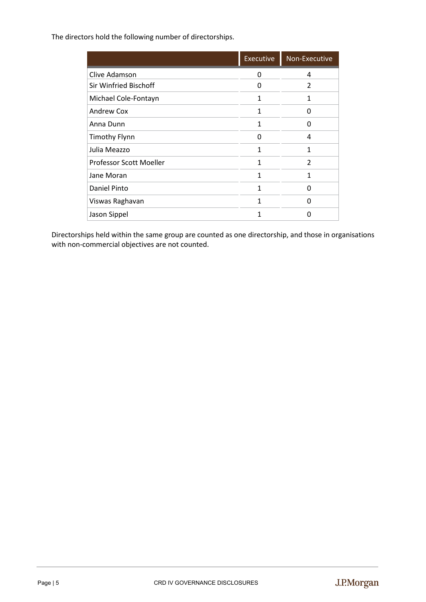The directors hold the following number of directorships.

|                              | <b>Executive</b> | Non-Executive |
|------------------------------|------------------|---------------|
| Clive Adamson                | 0                | 4             |
| <b>Sir Winfried Bischoff</b> | n                | $\mathcal{P}$ |
| Michael Cole-Fontayn         | 1                | 1             |
| <b>Andrew Cox</b>            | 1                | ŋ             |
| Anna Dunn                    | 1                | O             |
| <b>Timothy Flynn</b>         | 0                | 4             |
| Julia Meazzo                 | 1                | 1             |
| Professor Scott Moeller      | 1                | $\mathcal{P}$ |
| Jane Moran                   | 1                | 1             |
| Daniel Pinto                 |                  | O             |
| Viswas Raghavan              | 1                | n             |
| Jason Sippel                 |                  | n             |

Directorships held within the same group are counted as one directorship, and those in organisations with non-commercial objectives are not counted.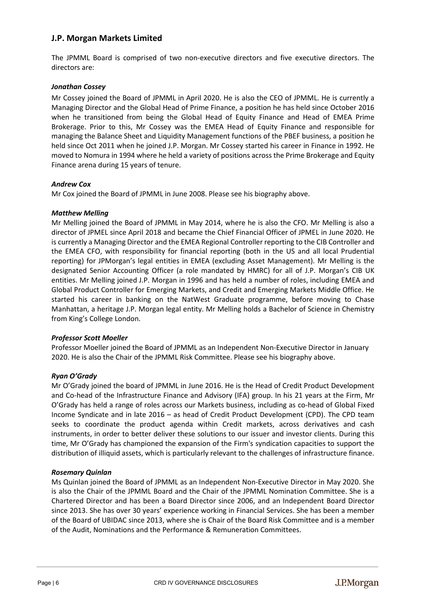# **J.P. Morgan Markets Limited**

The JPMML Board is comprised of two non-executive directors and five executive directors. The directors are:

# *Jonathan Cossey*

Mr Cossey joined the Board of JPMML in April 2020. He is also the CEO of JPMML. He is currently a Managing Director and the Global Head of Prime Finance, a position he has held since October 2016 when he transitioned from being the Global Head of Equity Finance and Head of EMEA Prime Brokerage. Prior to this, Mr Cossey was the EMEA Head of Equity Finance and responsible for managing the Balance Sheet and Liquidity Management functions of the PBEF business, a position he held since Oct 2011 when he joined J.P. Morgan. Mr Cossey started his career in Finance in 1992. He moved to Nomura in 1994 where he held a variety of positions across the Prime Brokerage and Equity Finance arena during 15 years of tenure.

# *Andrew Cox*

Mr Cox joined the Board of JPMML in June 2008. Please see his biography above.

# *Matthew Melling*

Mr Melling joined the Board of JPMML in May 2014, where he is also the CFO. Mr Melling is also a director of JPMEL since April 2018 and became the Chief Financial Officer of JPMEL in June 2020. He is currently a Managing Director and the EMEA Regional Controller reporting to the CIB Controller and the EMEA CFO, with responsibility for financial reporting (both in the US and all local Prudential reporting) for JPMorgan's legal entities in EMEA (excluding Asset Management). Mr Melling is the designated Senior Accounting Officer (a role mandated by HMRC) for all of J.P. Morgan's CIB UK entities. Mr Melling joined J.P. Morgan in 1996 and has held a number of roles, including EMEA and Global Product Controller for Emerging Markets, and Credit and Emerging Markets Middle Office. He started his career in banking on the NatWest Graduate programme, before moving to Chase Manhattan, a heritage J.P. Morgan legal entity. Mr Melling holds a Bachelor of Science in Chemistry from King's College London.

# *Professor Scott Moeller*

Professor Moeller joined the Board of JPMML as an Independent Non-Executive Director in January 2020. He is also the Chair of the JPMML Risk Committee. Please see his biography above.

# *Ryan O'Grady*

Mr O'Grady joined the board of JPMML in June 2016. He is the Head of Credit Product Development and Co-head of the Infrastructure Finance and Advisory (IFA) group. In his 21 years at the Firm, Mr O'Grady has held a range of roles across our Markets business, including as co-head of Global Fixed Income Syndicate and in late 2016 – as head of Credit Product Development (CPD). The CPD team seeks to coordinate the product agenda within Credit markets, across derivatives and cash instruments, in order to better deliver these solutions to our issuer and investor clients. During this time, Mr O'Grady has championed the expansion of the Firm's syndication capacities to support the distribution of illiquid assets, which is particularly relevant to the challenges of infrastructure finance.

#### *Rosemary Quinlan*

Ms Quinlan joined the Board of JPMML as an Independent Non-Executive Director in May 2020. She is also the Chair of the JPMML Board and the Chair of the JPMML Nomination Committee. She is a Chartered Director and has been a Board Director since 2006, and an Independent Board Director since 2013. She has over 30 years' experience working in Financial Services. She has been a member of the Board of UBIDAC since 2013, where she is Chair of the Board Risk Committee and is a member of the Audit, Nominations and the Performance & Remuneration Committees.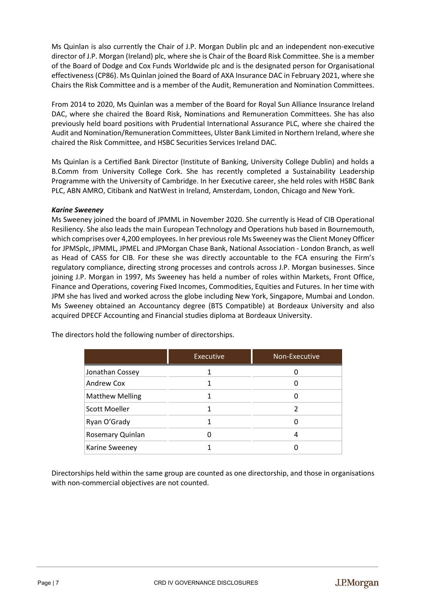Ms Quinlan is also currently the Chair of J.P. Morgan Dublin plc and an independent non-executive director of J.P. Morgan (Ireland) plc, where she is Chair of the Board Risk Committee. She is a member of the Board of Dodge and Cox Funds Worldwide plc and is the designated person for Organisational effectiveness (CP86). Ms Quinlan joined the Board of AXA Insurance DAC in February 2021, where she Chairs the Risk Committee and is a member of the Audit, Remuneration and Nomination Committees.

From 2014 to 2020, Ms Quinlan was a member of the Board for Royal Sun Alliance Insurance Ireland DAC, where she chaired the Board Risk, Nominations and Remuneration Committees. She has also previously held board positions with Prudential International Assurance PLC, where she chaired the Audit and Nomination/Remuneration Committees, Ulster Bank Limited in Northern Ireland, where she chaired the Risk Committee, and HSBC Securities Services Ireland DAC.

Ms Quinlan is a Certified Bank Director (Institute of Banking, University College Dublin) and holds a B.Comm from University College Cork. She has recently completed a Sustainability Leadership Programme with the University of Cambridge. In her Executive career, she held roles with HSBC Bank PLC, ABN AMRO, Citibank and NatWest in Ireland, Amsterdam, London, Chicago and New York.

# *Karine Sweeney*

Ms Sweeney joined the board of JPMML in November 2020. She currently is Head of CIB Operational Resiliency. She also leads the main European Technology and Operations hub based in Bournemouth, which comprises over 4,200 employees. In her previous role Ms Sweeney was the Client Money Officer for JPMSplc, JPMML, JPMEL and JPMorgan Chase Bank, National Association - London Branch, as well as Head of CASS for CIB. For these she was directly accountable to the FCA ensuring the Firm's regulatory compliance, directing strong processes and controls across J.P. Morgan businesses. Since joining J.P. Morgan in 1997, Ms Sweeney has held a number of roles within Markets, Front Office, Finance and Operations, covering Fixed Incomes, Commodities, Equities and Futures. In her time with JPM she has lived and worked across the globe including New York, Singapore, Mumbai and London. Ms Sweeney obtained an Accountancy degree (BTS Compatible) at Bordeaux University and also acquired DPECF Accounting and Financial studies diploma at Bordeaux University.

|                        | Executive | Non-Executive |
|------------------------|-----------|---------------|
| Jonathan Cossey        |           | O             |
| Andrew Cox             |           |               |
| <b>Matthew Melling</b> |           |               |
| <b>Scott Moeller</b>   |           | 2             |
| Ryan O'Grady           |           |               |
| Rosemary Quinlan       |           |               |
| Karine Sweeney         |           |               |

The directors hold the following number of directorships.

Directorships held within the same group are counted as one directorship, and those in organisations with non-commercial objectives are not counted.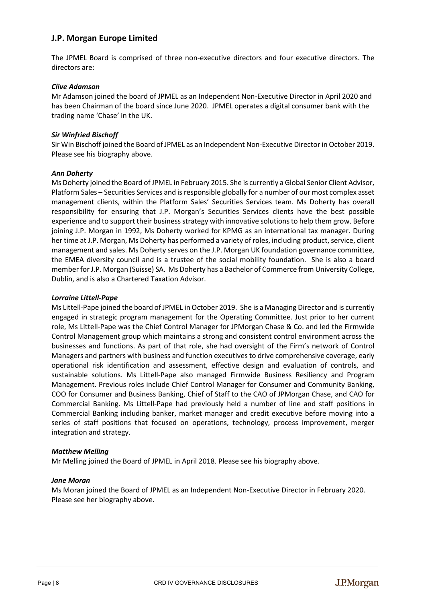# **J.P. Morgan Europe Limited**

The JPMEL Board is comprised of three non-executive directors and four executive directors. The directors are:

#### *Clive Adamson*

Mr Adamson joined the board of JPMEL as an Independent Non-Executive Director in April 2020 and has been Chairman of the board since June 2020. JPMEL operates a digital consumer bank with the trading name 'Chase' in the UK.

# *Sir Winfried Bischoff*

Sir Win Bischoff joined the Board of JPMEL as an Independent Non-Executive Director in October 2019. Please see his biography above.

#### *Ann Doherty*

Ms Doherty joined the Board of JPMEL in February 2015. She is currently a Global Senior Client Advisor, Platform Sales – Securities Services and is responsible globally for a number of our most complex asset management clients, within the Platform Sales' Securities Services team. Ms Doherty has overall responsibility for ensuring that J.P. Morgan's Securities Services clients have the best possible experience and to support their business strategy with innovative solutions to help them grow. Before joining J.P. Morgan in 1992, Ms Doherty worked for KPMG as an international tax manager. During her time at J.P. Morgan, Ms Doherty has performed a variety of roles, including product, service, client management and sales. Ms Doherty serves on the J.P. Morgan UK foundation governance committee, the EMEA diversity council and is a trustee of the social mobility foundation. She is also a board member for J.P. Morgan (Suisse) SA. Ms Doherty has a Bachelor of Commerce from University College, Dublin, and is also a Chartered Taxation Advisor.

#### *Lorraine Littell-Pape*

Ms Littell-Pape joined the board of JPMEL in October 2019. She is a Managing Director and is currently engaged in strategic program management for the Operating Committee. Just prior to her current role, Ms Littell-Pape was the Chief Control Manager for JPMorgan Chase & Co. and led the Firmwide Control Management group which maintains a strong and consistent control environment across the businesses and functions. As part of that role, she had oversight of the Firm's network of Control Managers and partners with business and function executives to drive comprehensive coverage, early operational risk identification and assessment, effective design and evaluation of controls, and sustainable solutions. Ms Littell-Pape also managed Firmwide Business Resiliency and Program Management. Previous roles include Chief Control Manager for Consumer and Community Banking, COO for Consumer and Business Banking, Chief of Staff to the CAO of JPMorgan Chase, and CAO for Commercial Banking. Ms Littell-Pape had previously held a number of line and staff positions in Commercial Banking including banker, market manager and credit executive before moving into a series of staff positions that focused on operations, technology, process improvement, merger integration and strategy.

#### *Matthew Melling*

Mr Melling joined the Board of JPMEL in April 2018. Please see his biography above.

#### *Jane Moran*

Ms Moran joined the Board of JPMEL as an Independent Non-Executive Director in February 2020. Please see her biography above.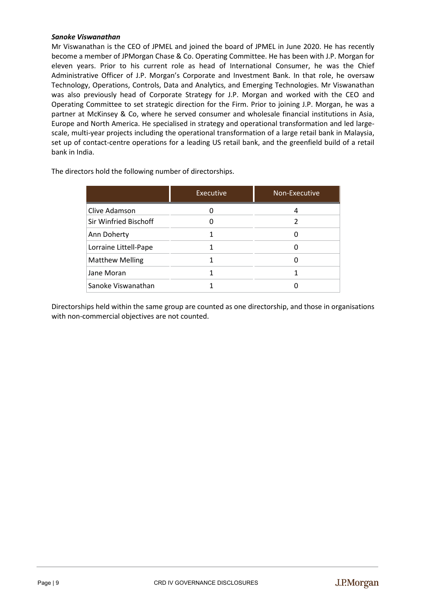#### *Sanoke Viswanathan*

Mr Viswanathan is the CEO of JPMEL and joined the board of JPMEL in June 2020. He has recently become a member of JPMorgan Chase & Co. Operating Committee. He has been with J.P. Morgan for eleven years. Prior to his current role as head of International Consumer, he was the Chief Administrative Officer of J.P. Morgan's Corporate and Investment Bank. In that role, he oversaw Technology, Operations, Controls, Data and Analytics, and Emerging Technologies. Mr Viswanathan was also previously head of Corporate Strategy for J.P. Morgan and worked with the CEO and Operating Committee to set strategic direction for the Firm. Prior to joining J.P. Morgan, he was a partner at McKinsey & Co, where he served consumer and wholesale financial institutions in Asia, Europe and North America. He specialised in strategy and operational transformation and led largescale, multi-year projects including the operational transformation of a large retail bank in Malaysia, set up of contact-centre operations for a leading US retail bank, and the greenfield build of a retail bank in India.

The directors hold the following number of directorships.

|                        | <b>Executive</b> | Non-Executive |
|------------------------|------------------|---------------|
| Clive Adamson          |                  | 4             |
| Sir Winfried Bischoff  |                  |               |
| Ann Doherty            |                  | 0             |
| Lorraine Littell-Pape  |                  |               |
| <b>Matthew Melling</b> |                  | 0             |
| Jane Moran             |                  |               |
| Sanoke Viswanathan     |                  |               |

Directorships held within the same group are counted as one directorship, and those in organisations with non-commercial objectives are not counted.